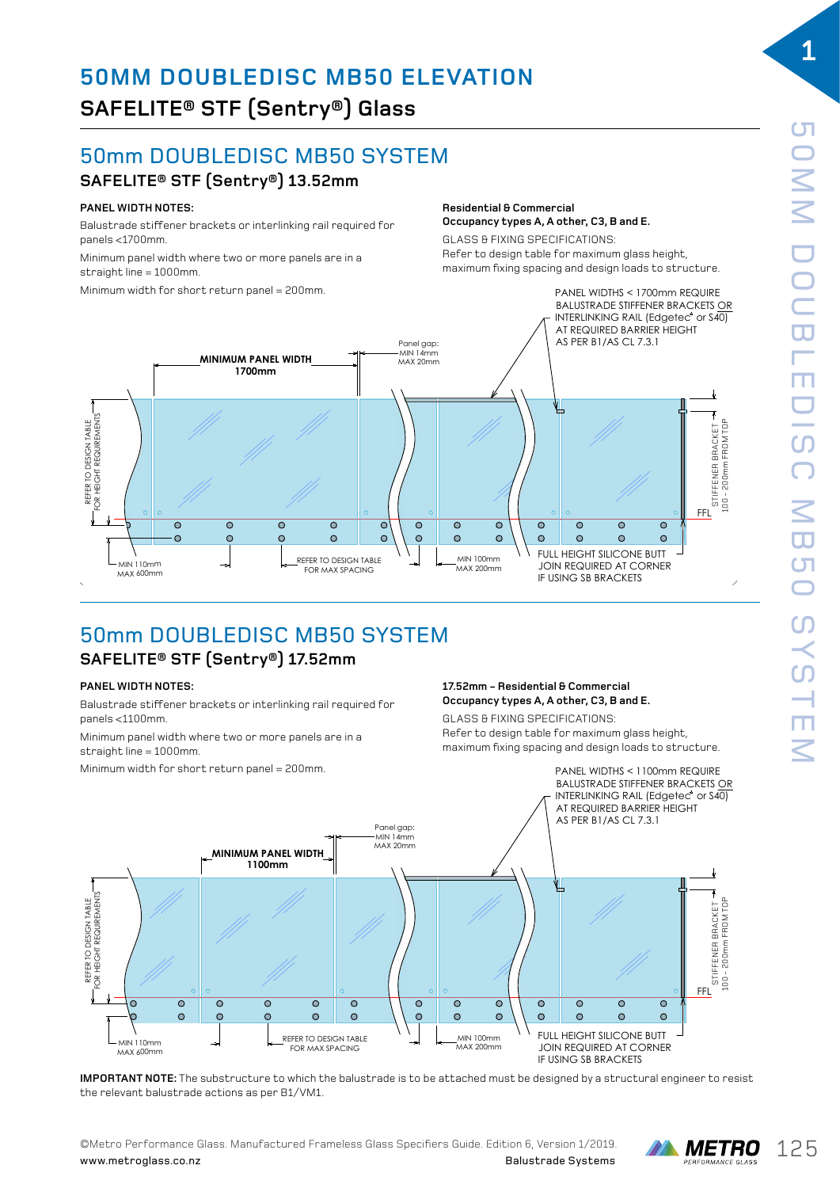### 50mm DOUBLEDISC MB50 SYSTEM DISC MB50 SYSTEM

### $\mathsf{SAFELITE}^{\circledast}\mathsf{STF}\left(\mathsf{Sentry}^{\circledast}\right)\mathsf{13.52mm}$ DOUBLE DISC MB50 SYSTEM

### PANEL WIDTH NOTES:

Balustrade stiffener brackets or interlinking rail required for panels <1700mm.

Minimum panel width where two or more panels are in a **PANEL WIDTH NOTES:** straight line = 1000mm. imum panel width where two or more panels are in a **PANEL WIDTH NOTES:** 

Minimum width for short return panel = 200mm.  $\frac{1}{2}$ imum width for short return panel = 200mm.

### **Residential & Commercial Occupancy types A, A other, C3, B and E.** Occupancy types A, A other, C3, B and E.

GLASS & FIXING SPECIFICATIONS: maximum communications in the structure.<br>Refer to design table for maximum glass height, maximum fixing spacing and design loads to structure.



### 50mm DOUBLEDISC MB50 SYSTEM **SAFELITE® STF (Sentry®) 17.52mm** DOUBLE DISC MB50 SYSTEM SIF (Sentrality).

FOR MAX SPACING

### **PANEL WIDTH NOTES:**

Balustrade stiffener brackets or interlinking rail required for<br>**PALES** panels <1100mm. Balustrade stiffener brackets or interlinking rail required Is stifferer breekste en in

Minimum panel width where two or more panels are in a  $\frac{1}{2}$  straight line = 1000mm.  $B_{\text{H}}$ alustrade stiffener brackets or interline rail required rail required rail required rail required ratio.

Minimum width for short return panel = 200mm. a straight line = 1000mm.  $m$ mum width for short return panel = 200 $m$ m. imum width for shor

### 17.52mm – Residential & Commercial Occupancy types A, A other, C3, B and E.

state for the street, the conditions of the conditions.<br>GLASS & FIXING SPECIFICATIONS: Refer to design table for maximum glass height, maximum fixing spacing and design loads to structure. LASS & FIXING SPECIFICATIONS:



IMPORTANT NOTE: The substructure to which the balustrade is to be attached must be designed by a structural engineer to resist the relevant balustrade actions as per B1/VM1.  $\,$ 

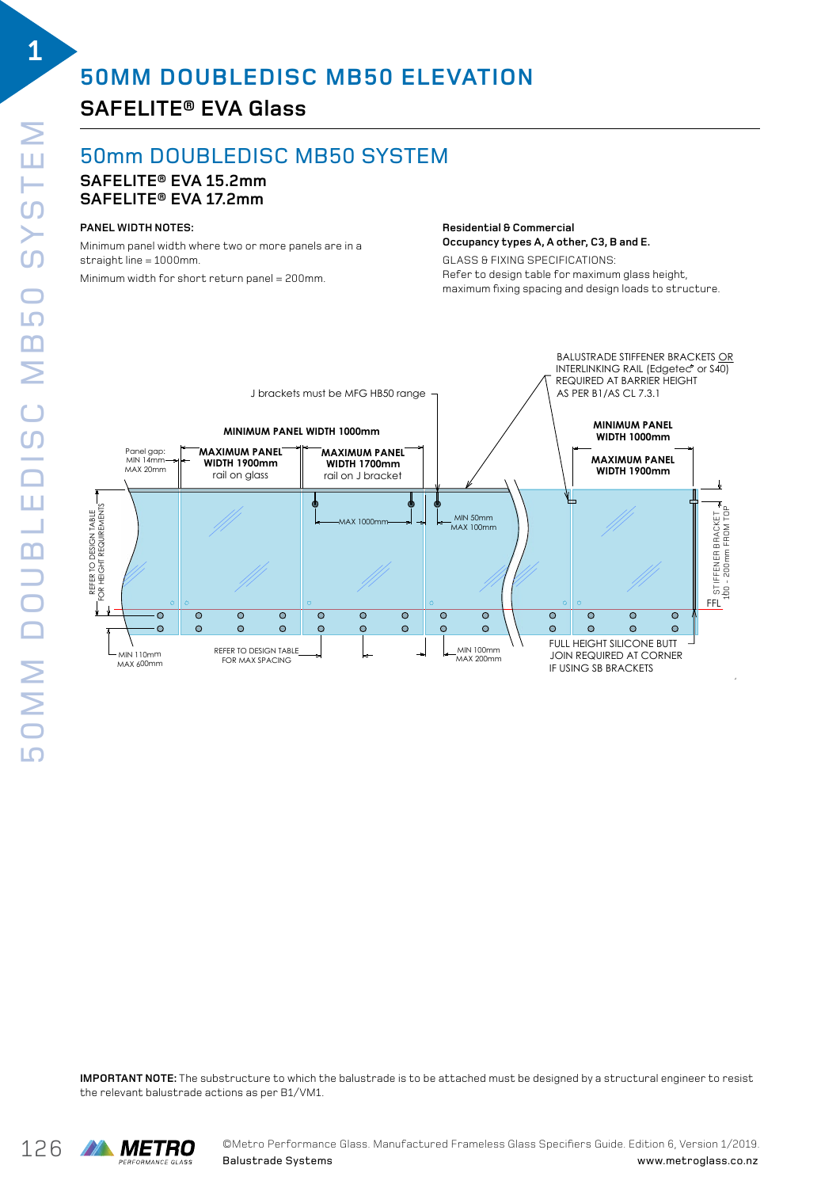# **50MM DOUBLEDISC MB50 ELEVATION**

### **SAFELITE® EVA Glass**

### 50mm DOUBLEDISC MB50 SYSTEM

#### **SAFELITE® EVA 15.2mm SAFELITE® EVA 17.2mm** double disc and disc and disc and disc and disc and disc and disc and disc and disc and disc and disc and disc <br>Double disc and disc and disc and disc and disc and disc and disc and disc and disc and disc and disc and disc

### **PANEL WIDTH NOTES:**

Minimum panel width where two or more panels are in a straight line = 1000mm. Minimum width for short return panel = 200mm.

#### **Residential & Commercial Occupancy types A, A other, C3, B and E.**

GLASS & FIXING SPECIFICATIONS: **Residential & Commercial** acass on ixing si connomitions.<br>Refer to design table for maximum glass height, maximum fixing spacing and design loads to structure.



**IMPORTANT NOTE:** The substructure to which the balustrade is to be attached must be designed by a structural engineer to resist the relevant balustrade actions as per B1/VM1.

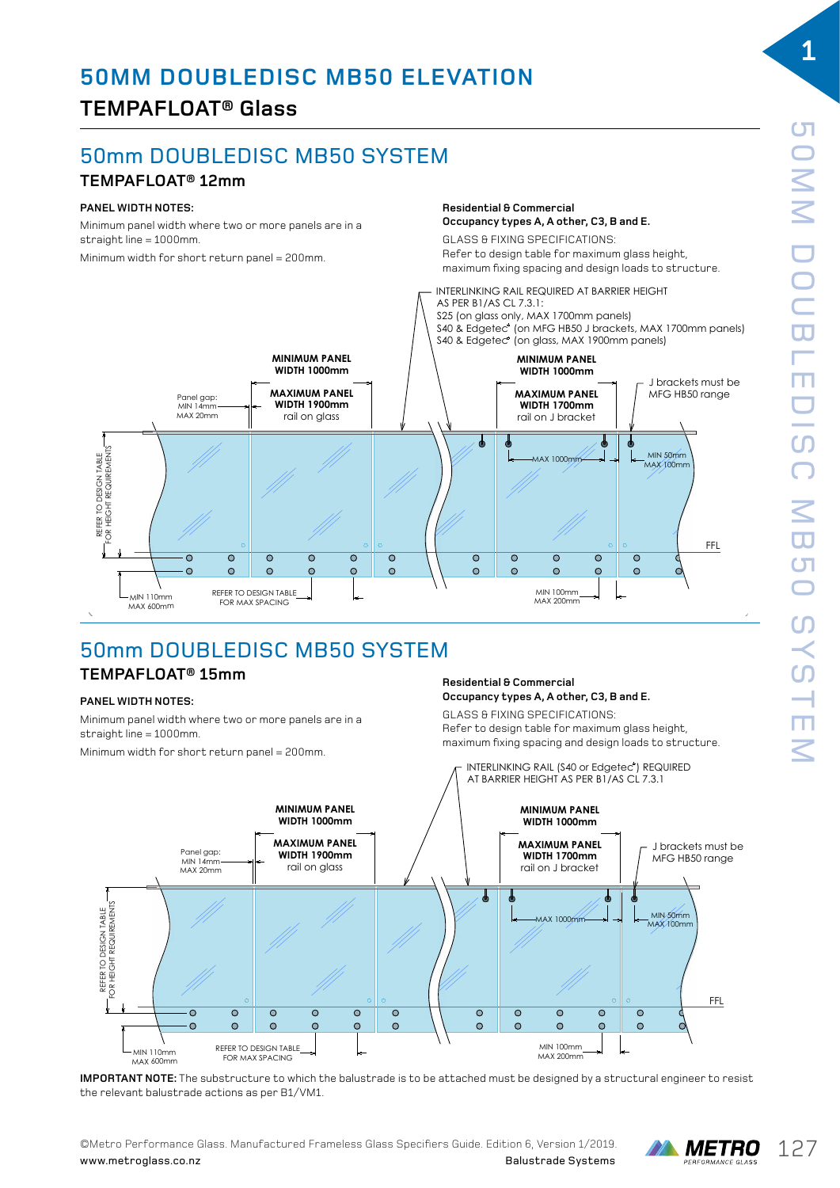## **TEMPAFLOAT® Glass**

# 50mm DOUBLEDISC MB50 SYSTEM

### **TEMPAFLOAT® 12mm**

### **PANEL WIDTH NOTES:**

Minimum panel width where two or more panels are in a  $strain$  ine = 1000mm.

Minimum width for short return panel = 200mm.

### **Residential & Commercial Occupancy types A, A other, C3, B and E.**

**GLASS & FIXING SPECIFICATIONS:** Refer to design table for maximum glass height, maximum fixing spacing and design loads to structure. Refer to design table for maximum glass height, **OCCLUDE OF ELITICATIONS.** 



# 50mm DOUBLEDISC MB50 SYSTEM

### **TEMPAFLOAT® 15mm** DOUBLE DISC MB50 SYSTEM DOUBLE DISC MB50 SYSTEM  $\overline{\phantom{0}}$

### **PANEL WIDTH NOTES:**

Minimum panel width where two or more panels are in a straight line = 1000mm.

Minimum width for short return panel = 200mm. an widen for oner ended.

#### **Residential & Commercial Occupancy types A, A other, C3, B and E. Residential & Commercial** Occupancy types A, A other, C3, B and E. **Occupancy types A, A other, C3, B and E.**

GLASS & FIXING SPECIFICATIONS: um panel width where two or more panels are in a<br>https://www.maximum.glass.height, maximum fixing spacing and design loads to structure. **PANEL WIDTH NOTES:** maximum fixing spacing and design loads to structure.



IMPORTANT NOTE: The substructure to which the balustrade is to be attached must be designed by a structural engineer to resist the relevant balustrade actions as per B1/VM1. by a structural engineer to resist the relevant balustrade actions as per B1/VM1. IMPORTANT NOTE: The substructure to which the balustrade is to be attached must be designed by a structural engineer to resist the relevant balustrade actions as per B1/VM1.

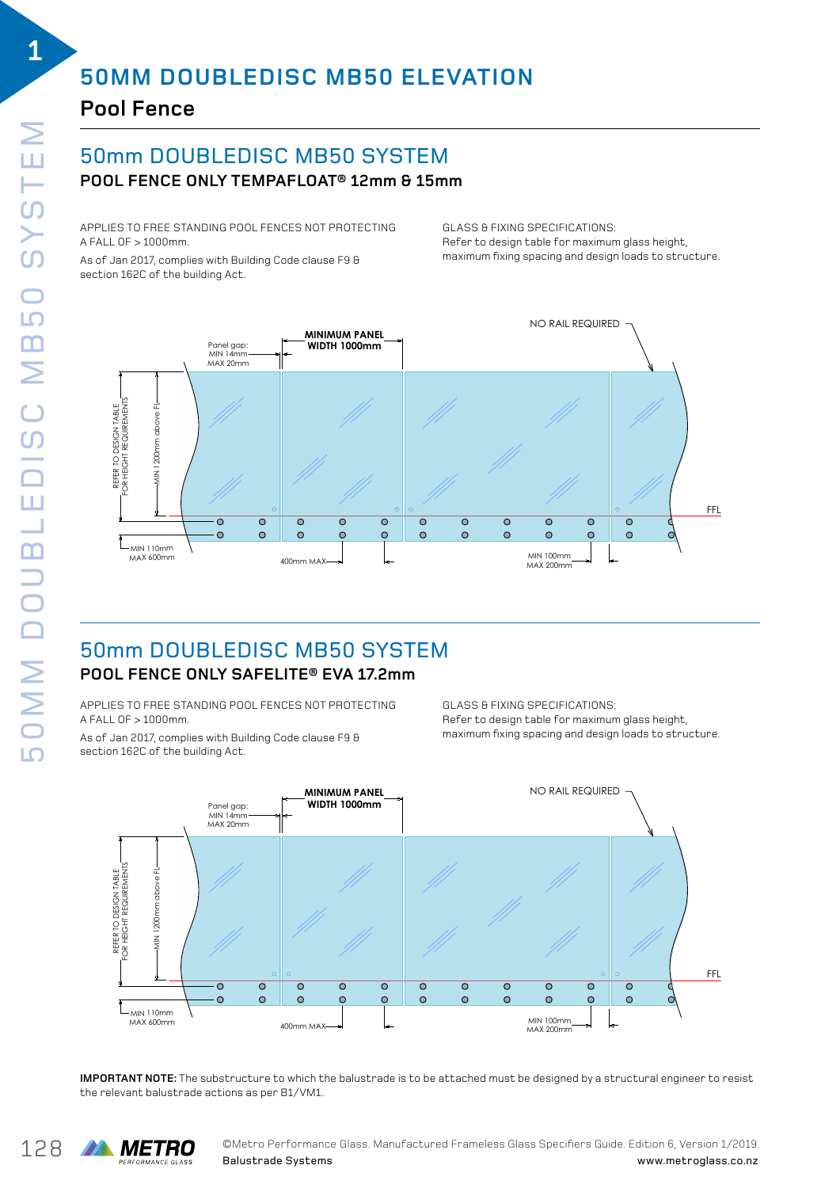# **50MM DOUBLEDISC MB50 ELEVATION**

### **Pool Fence**

### 50mm DOUBLEDISC MB50 SYSTEM **POOL FENCE ONLY TEMPAFLOAT® 12mm & 15mm** DOUBLE DISC MB50 BALUSTRADE SYSTEM

APPLIES TO FREE STANDING POOL FENCES NOT PROTECTING A FALL OF  $>1000$ mm. REE STANDING POOL I

As of Jan 2017, complies with Building Code clause F9  $\theta$ section 162C of the building Act.  $G$ 

GLASS & FIXING SPECIFICATIONS: achoo o Fixina or Lon Ioxirono.<br>Refer to design table for maximum glass height, maximum fixing spacing and design loads to structure. co design cable for maximum glass neight, S & FIXING SPECIFICATIONS:



### 50mm DOUBLEDISC MB50 SYSTEM DOUBLE DISC MB50 SYSTEM **POOL FENCE ONLY SAFELITE® EVA 17.2mm M** DOUBLEDISC

APPLIES TO FREE STANDING POOL FENCES NOT PROTECTING  $A$  FALL OF  $> 1000$ mm.

As of Jan 2017, complies with Building Code clause F9 & maximum fixing spacing and design loads to structure. GLASS & FIXING SPECIFICATIONS: section 162C of the building Act. Jan 2017, complies with Building Code clause F

GLASS & FIXING SPECIFICATIONS: achoo o Fixina or Comformono.<br>Refer to design table for maximum glass height, maximum fixing spacing and design loads to structure.



IMPORTANT NOTE: The substructure to which the balustrade is to be attached must be designed by a structural engineer to resist the relevant balustrade actions as per B1/VM1. **Website** www.metroglass.com